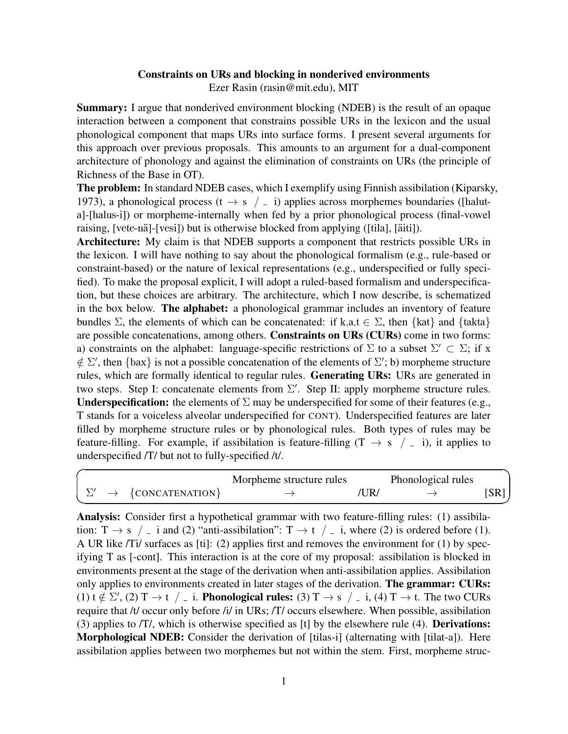## Constraints on URs and blocking in nonderived environments Ezer Rasin (rasin@mit.edu), MIT

Summary: I argue that nonderived environment blocking (NDEB) is the result of an opaque interaction between a component that constrains possible URs in the lexicon and the usual phonological component that maps URs into surface forms. I present several arguments for this approach over previous proposals. This amounts to an argument for a dual-component architecture of phonology and against the elimination of constraints on URs (the principle of Richness of the Base in OT).

The problem: In standard NDEB cases, which I exemplify using Finnish assibilation (Kiparsky, 1973), a phonological process (t  $\rightarrow$  s  $/$   $=$  i) applies across morphemes boundaries ([haluta]-[halus-i]) or morpheme-internally when fed by a prior phonological process (final-vowel raising, [vete-nä]-[vesi]) but is otherwise blocked from applying ([tila], [äiti]).

Architecture: My claim is that NDEB supports a component that restricts possible URs in the lexicon. I will have nothing to say about the phonological formalism (e.g., rule-based or constraint-based) or the nature of lexical representations (e.g., underspecified or fully specified). To make the proposal explicit, I will adopt a ruled-based formalism and underspecification, but these choices are arbitrary. The architecture, which I now describe, is schematized in the box below. The alphabet: a phonological grammar includes an inventory of feature bundles  $\Sigma$ , the elements of which can be concatenated: if k,a,t  $\in \Sigma$ , then {kat} and {takta} are possible concatenations, among others. Constraints on URs (CURs) come in two forms: a) constraints on the alphabet: language-specific restrictions of  $\Sigma$  to a subset  $\Sigma' \subset \Sigma$ ; if x  $\notin \Sigma'$ , then {bax} is not a possible concatenation of the elements of  $\Sigma'$ ; b) morpheme structure rules, which are formally identical to regular rules. Generating URs: URs are generated in two steps. Step I: concatenate elements from  $\Sigma'$ . Step II: apply morpheme structure rules. **Underspecification:** the elements of  $\Sigma$  may be underspecified for some of their features (e.g., T stands for a voiceless alveolar underspecified for CONT). Underspecified features are later filled by morpheme structure rules or by phonological rules. Both types of rules may be feature-filling. For example, if assibilation is feature-filling  $(T \rightarrow s$  /  $= i$ ), it applies to underspecified /T/ but not to fully-specified /t/.

|                                 | Morpheme structure rules |      | Phonological rules |      |
|---------------------------------|--------------------------|------|--------------------|------|
| $\rightarrow \{CONCATENATION\}$ |                          | 'UR/ |                    | [SR] |

Analysis: Consider first a hypothetical grammar with two feature-filling rules: (1) assibilation:  $T \rightarrow s$  / i and (2) "anti-assibilation":  $T \rightarrow t$  / i, where (2) is ordered before (1). A UR like /Ti/ surfaces as [ti]: (2) applies first and removes the environment for (1) by specifying T as [-cont]. This interaction is at the core of my proposal: assibilation is blocked in environments present at the stage of the derivation when anti-assibilation applies. Assibilation only applies to environments created in later stages of the derivation. The grammar: CURs: (1)  $t \notin \Sigma'$ , (2)  $T \to t$  / \_ i. Phonological rules: (3)  $T \to s$  / \_ i, (4)  $T \to t$ . The two CURs require that /t/ occur only before /i/ in URs; /T/ occurs elsewhere. When possible, assibilation (3) applies to /T/, which is otherwise specified as [t] by the elsewhere rule (4). Derivations: Morphological NDEB: Consider the derivation of [tilas-i] (alternating with [tilat-a]). Here assibilation applies between two morphemes but not within the stem. First, morpheme struc